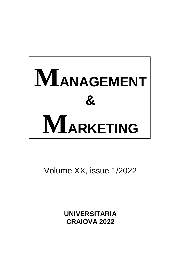

Volume XX, issue 1/2022

**UNIVERSITARIA CRAIOVA 2022**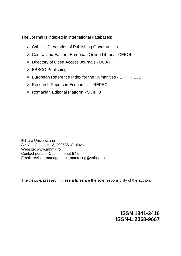The Journal is indexed in international databases:

- $\triangleright$  Cabell's Directories of Publishing Opportunities
- Central and Eastern European Online Library CEEOL
- [Directory of Open Access Journals](http://www.doaj.org/doaj?func=openurl&issn=18412416&genre=journal) DOAJ
- ▶ EBSCO Publishing
- European Reference Index for the Humanities ERIH PLUS
- ▶ [Research Papers in Economics](http://ideas.repec.org/s/aio/manmar.html) REPEC
- Romanian Editorial Platform SCIPIO

Editura Universitaria Str. A.I. Cuza, nr 13, 200585, Craiova Website: www.mnmk.ro Contact person: Cosmin Ionut Băloi Email: revista\_management\_marketing@yahoo.ro

The views expressed in these articles are the sole responsibility of the authors

**ISSN 1841-2416 ISSN-L 2068-9667**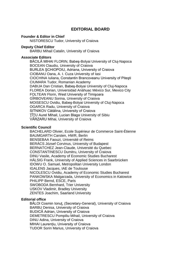# **EDITORIAL BOARD**

#### **Founder & Editor in Chief**

NISTORESCU Tudor, University of Craiova

#### **Deputy Chief Editor**

BARBU Mihail Catalin, University of Craiova

#### **Associate Editors**

BĂCILĂ MIHAI FLORIN, Babeş-Bolyai University of Cluj-Napoca BOCEAN Claudiu, University of Craiova BURLEA ŞCHIOPOIU, Adriana, University of Craiova CIOBANU Oana, A. I. Cuza University of Iasi CIOCHINA Iuliana, Constantin Brancoveanu University of Piteşti CIUMARA Tudor, Romanian Academy DABIJA Dan Cristian, Babeş-Bolyai University of Cluj-Napoca FLOREA Dorian, Universidad Anáhuac México Sur, Mexico City FOLTEAN Florin, West University of Timişoara GÎRBOVEANU Sorina, University of Craiova MOISESCU Ovidiu, Babeş-Bolyai University of Cluj-Napoca OGARCA Radu, University of Craiova SITNIKOV Cătălina, University of Craiova ŢÎŢU Aurel Mihail, Lucian Blaga University of Sibiu VĂRZARU Mihai, University of Craiova

### **Scientific Council**

BACHELARD Olivier, Ecole Supérieur de Commerce Saint-Étienne BAUMGARTH Carsten, HWR, Berlin BENSEBAA Faouzi, Université of Reims BERÁCS József Corvinus, University of Budapest BERNATCHEZ Jean-Claude, Université du Quebec CONSTANTINESCU Dumitru, University of Craiova DINU Vasile, Academy of Economic Studies Bucharest HÄLSIG Frank, University of Applied Sciences in Saarbrücken IDOWU O. Samuel, Metropolitan University London IGALENS Jacques, IAE de Toulouse NICOLESCU Ovidiu, Academy of Economic Studies Bucharest PANKOWSKA Malgarzada, University of Economics in Katowice PHILIPP Bernd, ESCE, Paris SWOBODA Bernhard, Trier University USKOV Vladimir, Bradley University ZENTES Joachim, Saarland University

## **Editorial office**

BĂLOI Cosmin Ionuț, (Secretary-General), University of Craiova BARBU Denisa, University of Craiova BUDICĂ Adrian, University of Craiova DEMETRESCU Pompiliu Mihail, University of Craiova DINU Adina, University of Craiova MIHAI Laurențiu, University of Craiova TUDOR Sorin Marius, University of Craiova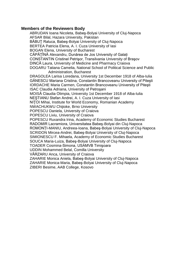## **Members of the Reviewers Body**

ABRUDAN Ioana Nicoleta, Babeş-Bolyai University of Cluj-Napoca AFSAR Bilal, Hazara University, Pakistan BĂBUŢ Raluca, Babeş-Bolyai University of Cluj-Napoca BERTEA Patricia Elena, A. I. Cuza University of Iasi BOGAN Elena, University of Bucharest CĂPĂŢÎNĂ Alexandru, Dunărea de Jos University of Galați CONSTANTIN Cristinel Petrişor, Transilvania University of Braşov DINCĂ Laura, University of Medicine and Pharmacy Craiova DOGARU Tatiana Camelia, National School of Political Science and Public Administration, Bucharest DRAGOLEA Larisa Loredana, University 1st December 1918 of Alba-Iulia GĂNESCU Mariana Cristina, Constantin Brancoveanu University of Piteşti IORDACHE Maria Carmen, Constantin Brancoveanu University of Piteşti ISAC Claudia Adriana, University of Petroşani MOISĂ Claudia Olimpia, University 1st December 1918 of Alba-Iulia NEŞTIANU Stefan Andrei, A. I. Cuza University of Iasi NIŢOI Mihai, Institute for World Economy, Romanian Academy NWACHUKWU Chijioke, Brno University POPESCU Daniela, University of Craiova POPESCU Liviu, University of Craiova POPESCU Ruxandra Irina, Academy of Economic Studies Bucharest RADOMIR Lacramiora, Universitatea Babeş-Bolyai din Cluj-Napoca ROMONȚI-MANIU, Andreea-Ioana, Babeş-Bolyai University of Cluj-Napoca SCRIDON Mircea-Andrei, Babeş-Bolyai University of Cluj-Napoca SIMIONESCU F. Mihaela, Academy of Economic Studies Bucharest SOUCA Maria-Luiza, Babeş-Bolyai University of Cluj-Napoca TOADER Cosmina-Simona, USAMVB Timişoara UDDIN Mohammed Belal, Comilla University VĂRZARU Anca, University of Craiova ZAHARIE Monica Aniela, Babeş-Bolyai University of Cluj-Napoca ZAHARIE Monica-Maria, Babeş-Bolyai University of Cluj-Napoca ZIBERI Besime, AAB College, Kosovo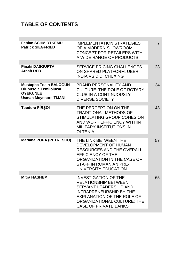# **TABLE OF CONTENTS**

| <b>Fabian SCHMIDTKEMD</b><br><b>Patrick SIEGFRIED</b>                                                    | <b>IMPLEMENTATION STRATEGIES</b><br>OF A MODERN SHOWROOM<br><b>CONCEPT FOR RETAILERS WITH</b><br>A WIDE RANGE OF PRODUCTS                                                                                                  | $\overline{7}$ |
|----------------------------------------------------------------------------------------------------------|----------------------------------------------------------------------------------------------------------------------------------------------------------------------------------------------------------------------------|----------------|
| <b>Pinaki DASGUPTA</b><br><b>Arnab DEB</b>                                                               | <b>SERVICE PRICING CHALLENGES</b><br>ON SHARED PLATFORM: UBER<br><b>INDIA VS DIDI CHUXING</b>                                                                                                                              | 23             |
| <b>Mustapha Tosin BALOGUN</b><br>Olubusola Temiloluwa<br><b>OYEKUNLE</b><br><b>Usman Moyosore TIJANI</b> | <b>BRAND PERSONALITY AND</b><br><b>CULTURE: THE ROLE OF ROTARY</b><br><b>CLUB IN A CONTINUOUSLY</b><br><b>DIVERSE SOCIETY</b>                                                                                              | 34             |
| Teodora PÎRȘOI                                                                                           | THE PERCEPTION ON THE<br><b>TRADITIONAL METHODS OF</b><br>STIMULATING GROUP COHESION<br>AND WORK EFFICIENCY WITHIN<br><b>MILITARY INSTITUTIONS IN</b><br><b>OLTENIA</b>                                                    | 43             |
| <b>Mariana POPA (PETRESCU)</b>                                                                           | THE LINK BETWEEN THE<br>DEVELOPMENT OF HUMAN<br><b>RESOURCES AND THE OVERALL</b><br><b>EFFICIENCY OF THE</b><br>ORGANIZATION IN THE CASE OF<br>STAFF IN ROMANIAN PRE-<br>UNIVERSITY EDUCATION                              | 57             |
| <b>Mitra HASHEMI</b>                                                                                     | <b>INVESTIGATION OF THE</b><br><b>RELATIONSHIP BETWEEN</b><br>SERVANT LEADERSHIP AND<br><b>INTRAPRENEURSHIP BY THE</b><br><b>EXPLANATION OF THE ROLE OF</b><br>ORGANIZATIONAL CULTURE: THE<br><b>CASE OF PRIVATE BANKS</b> | 65             |